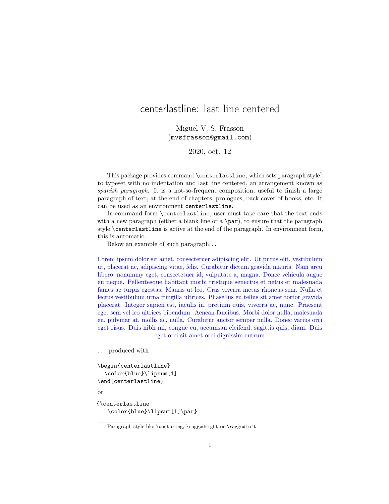## centerlastline: last line centered

Miguel V. S. Frasson (mvsfrasson@gmail.com)

2020, oct. 12

This package provides command  $\centerdot$  centerlastline, which sets paragraph style<sup>1</sup> to typeset with no indentation and last line centered, an arrangement known as spanish paragraph. It is a not-so-frequent composition, useful to finish a large paragraph of text, at the end of chapters, prologues, back cover of books, etc. It can be used as an environment centerlastline.

In command form \centerlastline, user must take care that the text ends with a new paragraph (either a blank line or a  $\part$ ), to ensure that the paragraph style \centerlastline is active at the end of the paragraph. In environment form, this is automatic.

Below an example of such paragraph. . .

Lorem ipsum dolor sit amet, consectetuer adipiscing elit. Ut purus elit, vestibulum ut, placerat ac, adipiscing vitae, felis. Curabitur dictum gravida mauris. Nam arcu libero, nonummy eget, consectetuer id, vulputate a, magna. Donec vehicula augue eu neque. Pellentesque habitant morbi tristique senectus et netus et malesuada fames ac turpis egestas. Mauris ut leo. Cras viverra metus rhoncus sem. Nulla et lectus vestibulum urna fringilla ultrices. Phasellus eu tellus sit amet tortor gravida placerat. Integer sapien est, iaculis in, pretium quis, viverra ac, nunc. Praesent eget sem vel leo ultrices bibendum. Aenean faucibus. Morbi dolor nulla, malesuada eu, pulvinar at, mollis ac, nulla. Curabitur auctor semper nulla. Donec varius orci eget risus. Duis nibh mi, congue eu, accumsan eleifend, sagittis quis, diam. Duis eget orci sit amet orci dignissim rutrum.

. . . produced with

```
\begin{centerlastline}
  \color{blue}\lipsum[1]
\end{centerlastline}
```
or

{\centerlastline \color{blue}\lipsum[1]\par}

<sup>&</sup>lt;sup>1</sup>Paragraph style like \centering, \raggedright or \raggedleft.